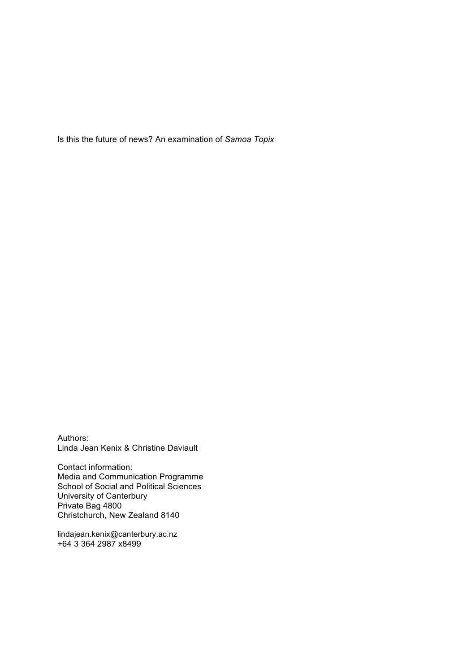Is this the future of news? An examination of *Samoa Topix*

Authors: Linda Jean Kenix & Christine Daviault

Contact information: Media and Communication Programme School of Social and Political Sciences University of Canterbury Private Bag 4800 Christchurch, New Zealand 8140

lindajean.kenix@canterbury.ac.nz +64 3 364 2987 x8499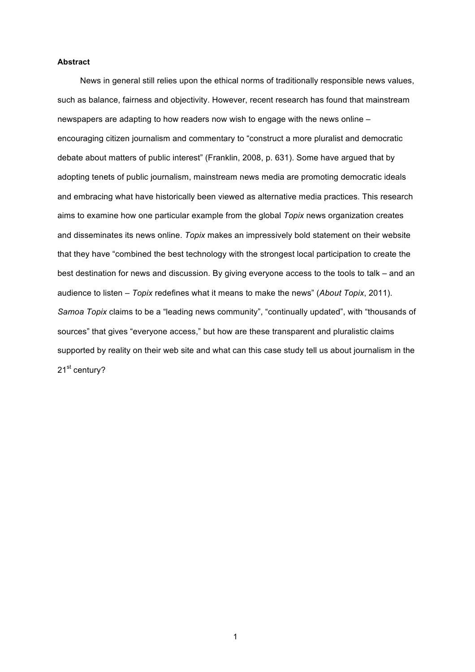# **Abstract**

News in general still relies upon the ethical norms of traditionally responsible news values, such as balance, fairness and objectivity. However, recent research has found that mainstream newspapers are adapting to how readers now wish to engage with the news online – encouraging citizen journalism and commentary to "construct a more pluralist and democratic debate about matters of public interest" (Franklin, 2008, p. 631). Some have argued that by adopting tenets of public journalism, mainstream news media are promoting democratic ideals and embracing what have historically been viewed as alternative media practices. This research aims to examine how one particular example from the global *Topix* news organization creates and disseminates its news online. *Topix* makes an impressively bold statement on their website that they have "combined the best technology with the strongest local participation to create the best destination for news and discussion. By giving everyone access to the tools to talk – and an audience to listen – *Topix* redefines what it means to make the news" (*About Topix*, 2011). *Samoa Topix* claims to be a "leading news community", "continually updated", with "thousands of sources" that gives "everyone access," but how are these transparent and pluralistic claims supported by reality on their web site and what can this case study tell us about journalism in the 21<sup>st</sup> century?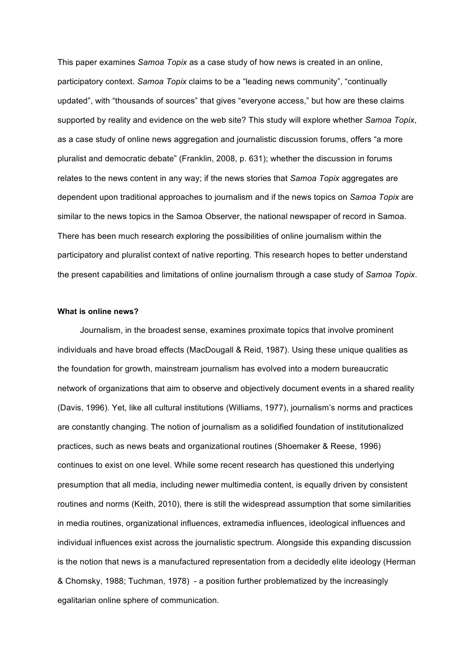This paper examines *Samoa Topix* as a case study of how news is created in an online, participatory context. *Samoa Topix* claims to be a "leading news community", "continually updated", with "thousands of sources" that gives "everyone access," but how are these claims supported by reality and evidence on the web site? This study will explore whether *Samoa Topix*, as a case study of online news aggregation and journalistic discussion forums, offers "a more pluralist and democratic debate" (Franklin, 2008, p. 631); whether the discussion in forums relates to the news content in any way; if the news stories that *Samoa Topix* aggregates are dependent upon traditional approaches to journalism and if the news topics on *Samoa Topix* are similar to the news topics in the Samoa Observer, the national newspaper of record in Samoa. There has been much research exploring the possibilities of online journalism within the participatory and pluralist context of native reporting. This research hopes to better understand the present capabilities and limitations of online journalism through a case study of *Samoa Topix*.

# **What is online news?**

Journalism, in the broadest sense, examines proximate topics that involve prominent individuals and have broad effects (MacDougall & Reid, 1987). Using these unique qualities as the foundation for growth, mainstream journalism has evolved into a modern bureaucratic network of organizations that aim to observe and objectively document events in a shared reality (Davis, 1996). Yet, like all cultural institutions (Williams, 1977), journalism's norms and practices are constantly changing. The notion of journalism as a solidified foundation of institutionalized practices, such as news beats and organizational routines (Shoemaker & Reese, 1996) continues to exist on one level. While some recent research has questioned this underlying presumption that all media, including newer multimedia content, is equally driven by consistent routines and norms (Keith, 2010), there is still the widespread assumption that some similarities in media routines, organizational influences, extramedia influences, ideological influences and individual influences exist across the journalistic spectrum. Alongside this expanding discussion is the notion that news is a manufactured representation from a decidedly elite ideology (Herman & Chomsky, 1988; Tuchman, 1978) - a position further problematized by the increasingly egalitarian online sphere of communication.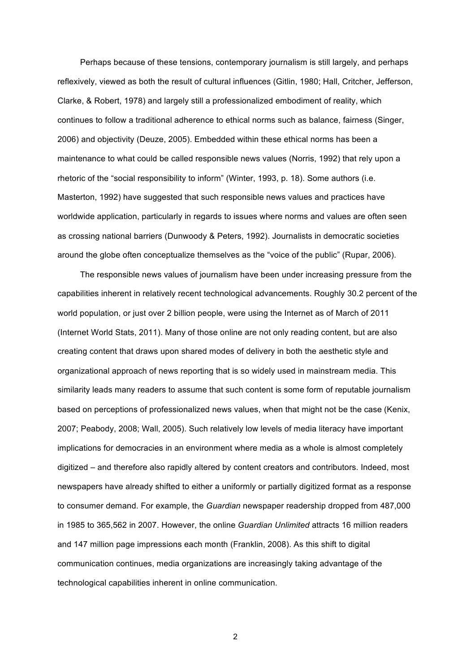Perhaps because of these tensions, contemporary journalism is still largely, and perhaps reflexively, viewed as both the result of cultural influences (Gitlin, 1980; Hall, Critcher, Jefferson, Clarke, & Robert, 1978) and largely still a professionalized embodiment of reality, which continues to follow a traditional adherence to ethical norms such as balance, fairness (Singer, 2006) and objectivity (Deuze, 2005). Embedded within these ethical norms has been a maintenance to what could be called responsible news values (Norris, 1992) that rely upon a rhetoric of the "social responsibility to inform" (Winter, 1993, p. 18). Some authors (i.e. Masterton, 1992) have suggested that such responsible news values and practices have worldwide application, particularly in regards to issues where norms and values are often seen as crossing national barriers (Dunwoody & Peters, 1992). Journalists in democratic societies around the globe often conceptualize themselves as the "voice of the public" (Rupar, 2006).

The responsible news values of journalism have been under increasing pressure from the capabilities inherent in relatively recent technological advancements. Roughly 30.2 percent of the world population, or just over 2 billion people, were using the Internet as of March of 2011 (Internet World Stats, 2011). Many of those online are not only reading content, but are also creating content that draws upon shared modes of delivery in both the aesthetic style and organizational approach of news reporting that is so widely used in mainstream media. This similarity leads many readers to assume that such content is some form of reputable journalism based on perceptions of professionalized news values, when that might not be the case (Kenix, 2007; Peabody, 2008; Wall, 2005). Such relatively low levels of media literacy have important implications for democracies in an environment where media as a whole is almost completely digitized – and therefore also rapidly altered by content creators and contributors. Indeed, most newspapers have already shifted to either a uniformly or partially digitized format as a response to consumer demand. For example, the *Guardian* newspaper readership dropped from 487,000 in 1985 to 365,562 in 2007. However, the online *Guardian Unlimited* attracts 16 million readers and 147 million page impressions each month (Franklin, 2008). As this shift to digital communication continues, media organizations are increasingly taking advantage of the technological capabilities inherent in online communication.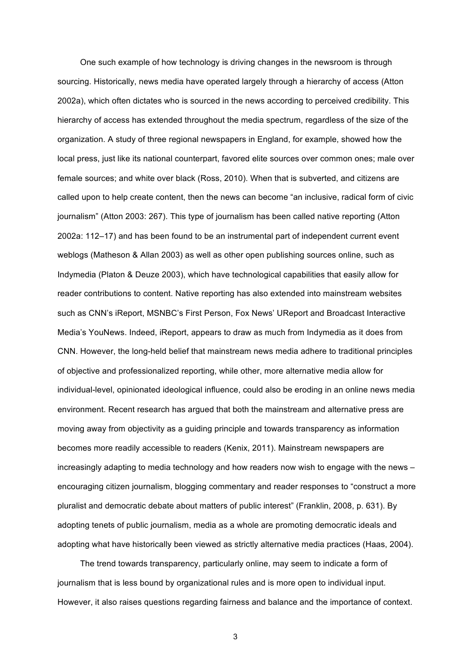One such example of how technology is driving changes in the newsroom is through sourcing. Historically, news media have operated largely through a hierarchy of access (Atton 2002a), which often dictates who is sourced in the news according to perceived credibility. This hierarchy of access has extended throughout the media spectrum, regardless of the size of the organization. A study of three regional newspapers in England, for example, showed how the local press, just like its national counterpart, favored elite sources over common ones; male over female sources; and white over black (Ross, 2010). When that is subverted, and citizens are called upon to help create content, then the news can become "an inclusive, radical form of civic journalism" (Atton 2003: 267). This type of journalism has been called native reporting (Atton 2002a: 112–17) and has been found to be an instrumental part of independent current event weblogs (Matheson & Allan 2003) as well as other open publishing sources online, such as Indymedia (Platon & Deuze 2003), which have technological capabilities that easily allow for reader contributions to content. Native reporting has also extended into mainstream websites such as CNN's iReport, MSNBC's First Person, Fox News' UReport and Broadcast Interactive Media's YouNews. Indeed, iReport, appears to draw as much from Indymedia as it does from CNN. However, the long-held belief that mainstream news media adhere to traditional principles of objective and professionalized reporting, while other, more alternative media allow for individual-level, opinionated ideological influence, could also be eroding in an online news media environment. Recent research has argued that both the mainstream and alternative press are moving away from objectivity as a guiding principle and towards transparency as information becomes more readily accessible to readers (Kenix, 2011). Mainstream newspapers are increasingly adapting to media technology and how readers now wish to engage with the news – encouraging citizen journalism, blogging commentary and reader responses to "construct a more pluralist and democratic debate about matters of public interest" (Franklin, 2008, p. 631). By adopting tenets of public journalism, media as a whole are promoting democratic ideals and adopting what have historically been viewed as strictly alternative media practices (Haas, 2004).

The trend towards transparency, particularly online, may seem to indicate a form of journalism that is less bound by organizational rules and is more open to individual input. However, it also raises questions regarding fairness and balance and the importance of context.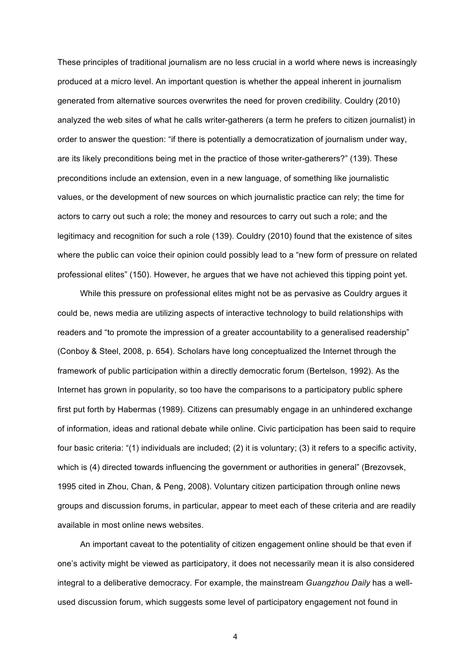These principles of traditional journalism are no less crucial in a world where news is increasingly produced at a micro level. An important question is whether the appeal inherent in journalism generated from alternative sources overwrites the need for proven credibility. Couldry (2010) analyzed the web sites of what he calls writer-gatherers (a term he prefers to citizen journalist) in order to answer the question: "if there is potentially a democratization of journalism under way, are its likely preconditions being met in the practice of those writer-gatherers?" (139). These preconditions include an extension, even in a new language, of something like journalistic values, or the development of new sources on which journalistic practice can rely; the time for actors to carry out such a role; the money and resources to carry out such a role; and the legitimacy and recognition for such a role (139). Couldry (2010) found that the existence of sites where the public can voice their opinion could possibly lead to a "new form of pressure on related professional elites" (150). However, he argues that we have not achieved this tipping point yet.

While this pressure on professional elites might not be as pervasive as Couldry argues it could be, news media are utilizing aspects of interactive technology to build relationships with readers and "to promote the impression of a greater accountability to a generalised readership" (Conboy & Steel, 2008, p. 654). Scholars have long conceptualized the Internet through the framework of public participation within a directly democratic forum (Bertelson, 1992). As the Internet has grown in popularity, so too have the comparisons to a participatory public sphere first put forth by Habermas (1989). Citizens can presumably engage in an unhindered exchange of information, ideas and rational debate while online. Civic participation has been said to require four basic criteria: "(1) individuals are included; (2) it is voluntary; (3) it refers to a specific activity, which is (4) directed towards influencing the government or authorities in general" (Brezovsek, 1995 cited in Zhou, Chan, & Peng, 2008). Voluntary citizen participation through online news groups and discussion forums, in particular, appear to meet each of these criteria and are readily available in most online news websites.

An important caveat to the potentiality of citizen engagement online should be that even if one's activity might be viewed as participatory, it does not necessarily mean it is also considered integral to a deliberative democracy. For example, the mainstream *Guangzhou Daily* has a wellused discussion forum, which suggests some level of participatory engagement not found in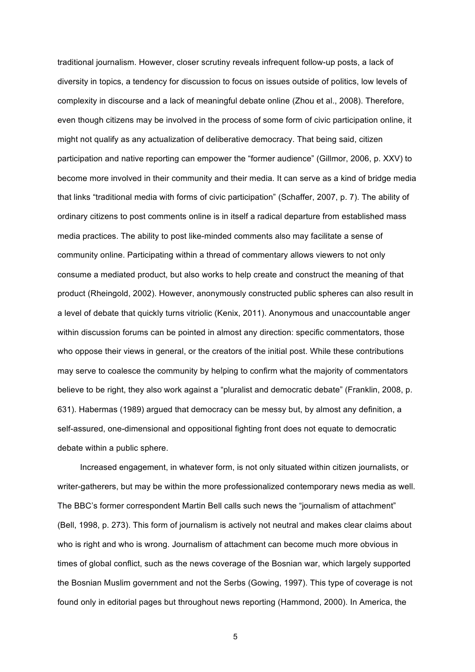traditional journalism. However, closer scrutiny reveals infrequent follow-up posts, a lack of diversity in topics, a tendency for discussion to focus on issues outside of politics, low levels of complexity in discourse and a lack of meaningful debate online (Zhou et al., 2008). Therefore, even though citizens may be involved in the process of some form of civic participation online, it might not qualify as any actualization of deliberative democracy. That being said, citizen participation and native reporting can empower the "former audience" (Gillmor, 2006, p. XXV) to become more involved in their community and their media. It can serve as a kind of bridge media that links "traditional media with forms of civic participation" (Schaffer, 2007, p. 7). The ability of ordinary citizens to post comments online is in itself a radical departure from established mass media practices. The ability to post like-minded comments also may facilitate a sense of community online. Participating within a thread of commentary allows viewers to not only consume a mediated product, but also works to help create and construct the meaning of that product (Rheingold, 2002). However, anonymously constructed public spheres can also result in a level of debate that quickly turns vitriolic (Kenix, 2011). Anonymous and unaccountable anger within discussion forums can be pointed in almost any direction: specific commentators, those who oppose their views in general, or the creators of the initial post. While these contributions may serve to coalesce the community by helping to confirm what the majority of commentators believe to be right, they also work against a "pluralist and democratic debate" (Franklin, 2008, p. 631). Habermas (1989) argued that democracy can be messy but, by almost any definition, a self-assured, one-dimensional and oppositional fighting front does not equate to democratic debate within a public sphere.

Increased engagement, in whatever form, is not only situated within citizen journalists, or writer-gatherers, but may be within the more professionalized contemporary news media as well. The BBC's former correspondent Martin Bell calls such news the "journalism of attachment" (Bell, 1998, p. 273). This form of journalism is actively not neutral and makes clear claims about who is right and who is wrong. Journalism of attachment can become much more obvious in times of global conflict, such as the news coverage of the Bosnian war, which largely supported the Bosnian Muslim government and not the Serbs (Gowing, 1997). This type of coverage is not found only in editorial pages but throughout news reporting (Hammond, 2000). In America, the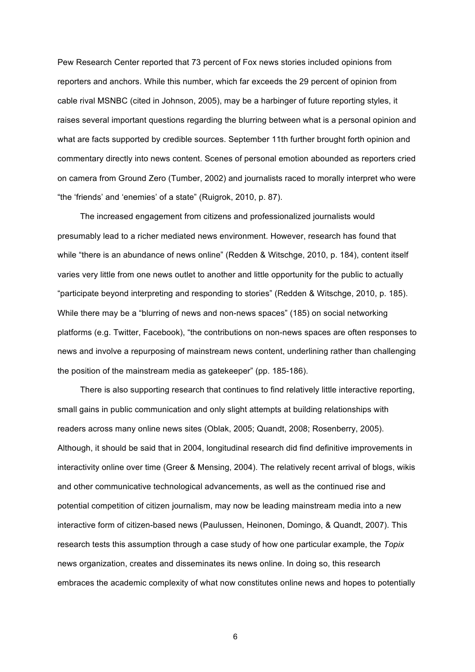Pew Research Center reported that 73 percent of Fox news stories included opinions from reporters and anchors. While this number, which far exceeds the 29 percent of opinion from cable rival MSNBC (cited in Johnson, 2005), may be a harbinger of future reporting styles, it raises several important questions regarding the blurring between what is a personal opinion and what are facts supported by credible sources. September 11th further brought forth opinion and commentary directly into news content. Scenes of personal emotion abounded as reporters cried on camera from Ground Zero (Tumber, 2002) and journalists raced to morally interpret who were "the 'friends' and 'enemies' of a state" (Ruigrok, 2010, p. 87).

The increased engagement from citizens and professionalized journalists would presumably lead to a richer mediated news environment. However, research has found that while "there is an abundance of news online" (Redden & Witschge, 2010, p. 184), content itself varies very little from one news outlet to another and little opportunity for the public to actually "participate beyond interpreting and responding to stories" (Redden & Witschge, 2010, p. 185). While there may be a "blurring of news and non-news spaces" (185) on social networking platforms (e.g. Twitter, Facebook), "the contributions on non-news spaces are often responses to news and involve a repurposing of mainstream news content, underlining rather than challenging the position of the mainstream media as gatekeeper" (pp. 185-186).

There is also supporting research that continues to find relatively little interactive reporting, small gains in public communication and only slight attempts at building relationships with readers across many online news sites (Oblak, 2005; Quandt, 2008; Rosenberry, 2005). Although, it should be said that in 2004, longitudinal research did find definitive improvements in interactivity online over time (Greer & Mensing, 2004). The relatively recent arrival of blogs, wikis and other communicative technological advancements, as well as the continued rise and potential competition of citizen journalism, may now be leading mainstream media into a new interactive form of citizen-based news (Paulussen, Heinonen, Domingo, & Quandt, 2007). This research tests this assumption through a case study of how one particular example, the *Topix* news organization, creates and disseminates its news online. In doing so, this research embraces the academic complexity of what now constitutes online news and hopes to potentially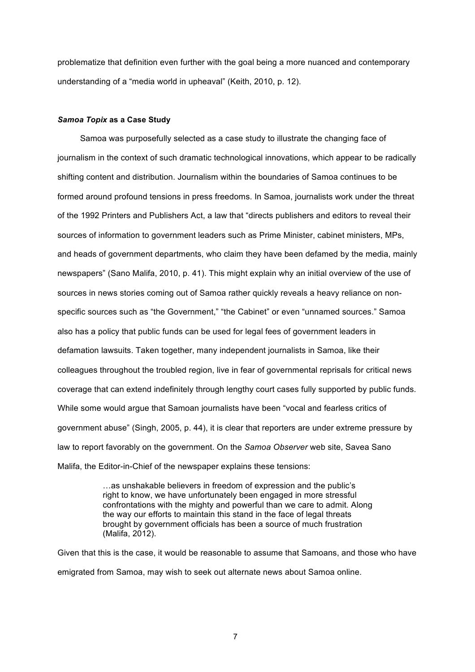problematize that definition even further with the goal being a more nuanced and contemporary understanding of a "media world in upheaval" (Keith, 2010, p. 12).

#### *Samoa Topix* **as a Case Study**

Samoa was purposefully selected as a case study to illustrate the changing face of journalism in the context of such dramatic technological innovations, which appear to be radically shifting content and distribution. Journalism within the boundaries of Samoa continues to be formed around profound tensions in press freedoms. In Samoa, journalists work under the threat of the 1992 Printers and Publishers Act, a law that "directs publishers and editors to reveal their sources of information to government leaders such as Prime Minister, cabinet ministers, MPs, and heads of government departments, who claim they have been defamed by the media, mainly newspapers" (Sano Malifa, 2010, p. 41). This might explain why an initial overview of the use of sources in news stories coming out of Samoa rather quickly reveals a heavy reliance on nonspecific sources such as "the Government," "the Cabinet" or even "unnamed sources." Samoa also has a policy that public funds can be used for legal fees of government leaders in defamation lawsuits. Taken together, many independent journalists in Samoa, like their colleagues throughout the troubled region, live in fear of governmental reprisals for critical news coverage that can extend indefinitely through lengthy court cases fully supported by public funds. While some would argue that Samoan journalists have been "vocal and fearless critics of government abuse" (Singh, 2005, p. 44), it is clear that reporters are under extreme pressure by law to report favorably on the government. On the *Samoa Observer* web site, Savea Sano Malifa, the Editor-in-Chief of the newspaper explains these tensions:

> …as unshakable believers in freedom of expression and the public's right to know, we have unfortunately been engaged in more stressful confrontations with the mighty and powerful than we care to admit. Along the way our efforts to maintain this stand in the face of legal threats brought by government officials has been a source of much frustration (Malifa, 2012).

Given that this is the case, it would be reasonable to assume that Samoans, and those who have emigrated from Samoa, may wish to seek out alternate news about Samoa online.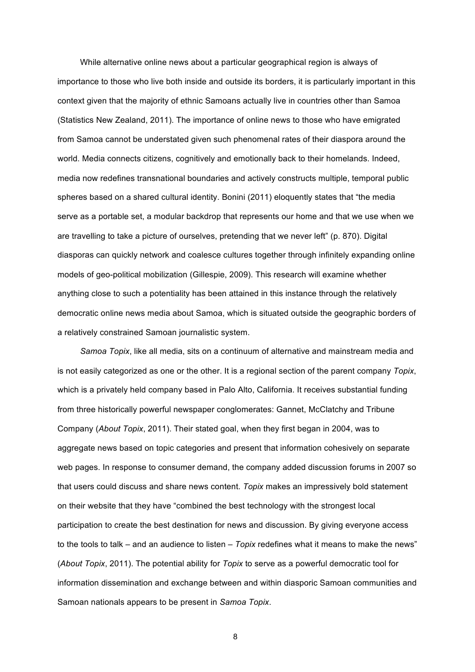While alternative online news about a particular geographical region is always of importance to those who live both inside and outside its borders, it is particularly important in this context given that the majority of ethnic Samoans actually live in countries other than Samoa (Statistics New Zealand, 2011). The importance of online news to those who have emigrated from Samoa cannot be understated given such phenomenal rates of their diaspora around the world. Media connects citizens, cognitively and emotionally back to their homelands. Indeed, media now redefines transnational boundaries and actively constructs multiple, temporal public spheres based on a shared cultural identity. Bonini (2011) eloquently states that "the media serve as a portable set, a modular backdrop that represents our home and that we use when we are travelling to take a picture of ourselves, pretending that we never left" (p. 870). Digital diasporas can quickly network and coalesce cultures together through infinitely expanding online models of geo-political mobilization (Gillespie, 2009). This research will examine whether anything close to such a potentiality has been attained in this instance through the relatively democratic online news media about Samoa, which is situated outside the geographic borders of a relatively constrained Samoan journalistic system.

*Samoa Topix*, like all media, sits on a continuum of alternative and mainstream media and is not easily categorized as one or the other. It is a regional section of the parent company *Topix*, which is a privately held company based in Palo Alto, California. It receives substantial funding from three historically powerful newspaper conglomerates: Gannet, McClatchy and Tribune Company (*About Topix*, 2011). Their stated goal, when they first began in 2004, was to aggregate news based on topic categories and present that information cohesively on separate web pages. In response to consumer demand, the company added discussion forums in 2007 so that users could discuss and share news content. *Topix* makes an impressively bold statement on their website that they have "combined the best technology with the strongest local participation to create the best destination for news and discussion. By giving everyone access to the tools to talk – and an audience to listen – *Topix* redefines what it means to make the news" (*About Topix*, 2011). The potential ability for *Topix* to serve as a powerful democratic tool for information dissemination and exchange between and within diasporic Samoan communities and Samoan nationals appears to be present in *Samoa Topix*.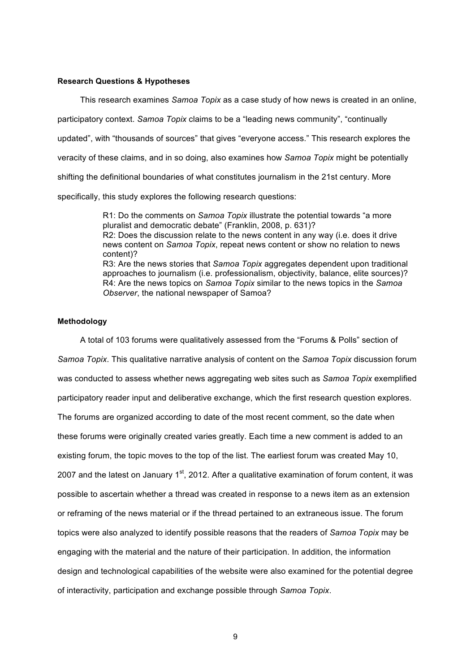# **Research Questions & Hypotheses**

This research examines *Samoa Topix* as a case study of how news is created in an online, participatory context. *Samoa Topix* claims to be a "leading news community", "continually updated", with "thousands of sources" that gives "everyone access." This research explores the veracity of these claims, and in so doing, also examines how *Samoa Topix* might be potentially shifting the definitional boundaries of what constitutes journalism in the 21st century. More specifically, this study explores the following research questions:

> R1: Do the comments on *Samoa Topix* illustrate the potential towards "a more pluralist and democratic debate" (Franklin, 2008, p. 631)? R2: Does the discussion relate to the news content in any way (i.e. does it drive news content on *Samoa Topix*, repeat news content or show no relation to news content)? R3: Are the news stories that *Samoa Topix* aggregates dependent upon traditional approaches to journalism (i.e. professionalism, objectivity, balance, elite sources)? R4: Are the news topics on *Samoa Topix* similar to the news topics in the *Samoa Observer*, the national newspaper of Samoa?

# **Methodology**

A total of 103 forums were qualitatively assessed from the "Forums & Polls" section of *Samoa Topix*. This qualitative narrative analysis of content on the *Samoa Topix* discussion forum was conducted to assess whether news aggregating web sites such as *Samoa Topix* exemplified participatory reader input and deliberative exchange, which the first research question explores. The forums are organized according to date of the most recent comment, so the date when these forums were originally created varies greatly. Each time a new comment is added to an existing forum, the topic moves to the top of the list. The earliest forum was created May 10, 2007 and the latest on January  $1<sup>st</sup>$ , 2012. After a qualitative examination of forum content, it was possible to ascertain whether a thread was created in response to a news item as an extension or reframing of the news material or if the thread pertained to an extraneous issue. The forum topics were also analyzed to identify possible reasons that the readers of *Samoa Topix* may be engaging with the material and the nature of their participation. In addition, the information design and technological capabilities of the website were also examined for the potential degree of interactivity, participation and exchange possible through *Samoa Topix*.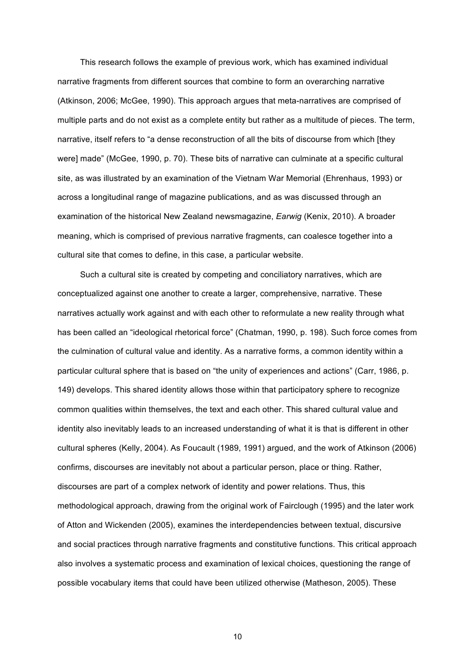This research follows the example of previous work, which has examined individual narrative fragments from different sources that combine to form an overarching narrative (Atkinson, 2006; McGee, 1990). This approach argues that meta-narratives are comprised of multiple parts and do not exist as a complete entity but rather as a multitude of pieces. The term, narrative, itself refers to "a dense reconstruction of all the bits of discourse from which [they were] made" (McGee, 1990, p. 70). These bits of narrative can culminate at a specific cultural site, as was illustrated by an examination of the Vietnam War Memorial (Ehrenhaus, 1993) or across a longitudinal range of magazine publications, and as was discussed through an examination of the historical New Zealand newsmagazine, *Earwig* (Kenix, 2010). A broader meaning, which is comprised of previous narrative fragments, can coalesce together into a cultural site that comes to define, in this case, a particular website.

Such a cultural site is created by competing and conciliatory narratives, which are conceptualized against one another to create a larger, comprehensive, narrative. These narratives actually work against and with each other to reformulate a new reality through what has been called an "ideological rhetorical force" (Chatman, 1990, p. 198). Such force comes from the culmination of cultural value and identity. As a narrative forms, a common identity within a particular cultural sphere that is based on "the unity of experiences and actions" (Carr, 1986, p. 149) develops. This shared identity allows those within that participatory sphere to recognize common qualities within themselves, the text and each other. This shared cultural value and identity also inevitably leads to an increased understanding of what it is that is different in other cultural spheres (Kelly, 2004). As Foucault (1989, 1991) argued, and the work of Atkinson (2006) confirms, discourses are inevitably not about a particular person, place or thing. Rather, discourses are part of a complex network of identity and power relations. Thus, this methodological approach, drawing from the original work of Fairclough (1995) and the later work of Atton and Wickenden (2005), examines the interdependencies between textual, discursive and social practices through narrative fragments and constitutive functions. This critical approach also involves a systematic process and examination of lexical choices, questioning the range of possible vocabulary items that could have been utilized otherwise (Matheson, 2005). These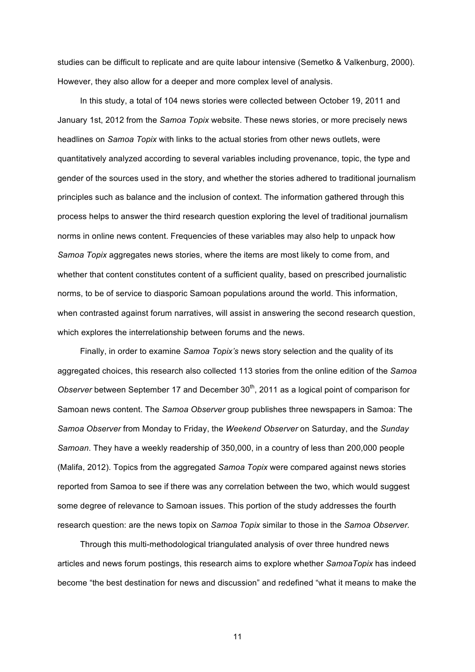studies can be difficult to replicate and are quite labour intensive (Semetko & Valkenburg, 2000). However, they also allow for a deeper and more complex level of analysis.

In this study, a total of 104 news stories were collected between October 19, 2011 and January 1st, 2012 from the *Samoa Topix* website. These news stories, or more precisely news headlines on *Samoa Topix* with links to the actual stories from other news outlets, were quantitatively analyzed according to several variables including provenance, topic, the type and gender of the sources used in the story, and whether the stories adhered to traditional journalism principles such as balance and the inclusion of context. The information gathered through this process helps to answer the third research question exploring the level of traditional journalism norms in online news content. Frequencies of these variables may also help to unpack how *Samoa Topix* aggregates news stories, where the items are most likely to come from, and whether that content constitutes content of a sufficient quality, based on prescribed journalistic norms, to be of service to diasporic Samoan populations around the world. This information, when contrasted against forum narratives, will assist in answering the second research question, which explores the interrelationship between forums and the news.

Finally, in order to examine *Samoa Topix's* news story selection and the quality of its aggregated choices, this research also collected 113 stories from the online edition of the *Samoa Observer* between September 17 and December 30<sup>th</sup>, 2011 as a logical point of comparison for Samoan news content. The *Samoa Observer* group publishes three newspapers in Samoa: The *Samoa Observer* from Monday to Friday, the *Weekend Observer* on Saturday, and the *Sunday Samoan*. They have a weekly readership of 350,000, in a country of less than 200,000 people (Malifa, 2012). Topics from the aggregated *Samoa Topix* were compared against news stories reported from Samoa to see if there was any correlation between the two, which would suggest some degree of relevance to Samoan issues. This portion of the study addresses the fourth research question: are the news topix on *Samoa Topix* similar to those in the *Samoa Observer.*

Through this multi-methodological triangulated analysis of over three hundred news articles and news forum postings, this research aims to explore whether *SamoaTopix* has indeed become "the best destination for news and discussion" and redefined "what it means to make the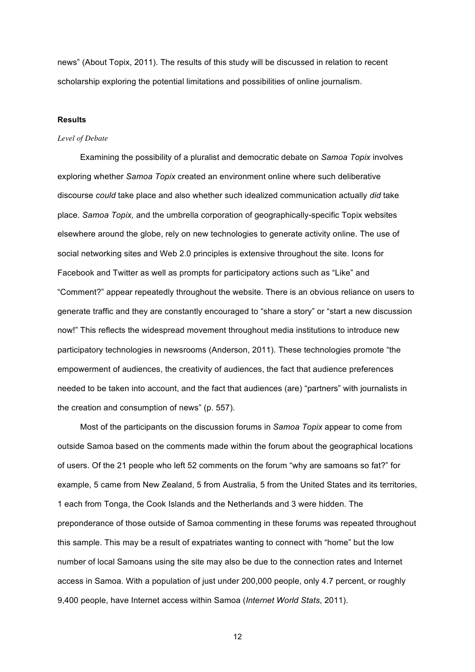news" (About Topix, 2011). The results of this study will be discussed in relation to recent scholarship exploring the potential limitations and possibilities of online journalism.

# **Results**

#### *Level of Debate*

Examining the possibility of a pluralist and democratic debate on *Samoa Topix* involves exploring whether *Samoa Topix* created an environment online where such deliberative discourse *could* take place and also whether such idealized communication actually *did* take place. *Samoa Topix,* and the umbrella corporation of geographically-specific Topix websites elsewhere around the globe, rely on new technologies to generate activity online. The use of social networking sites and Web 2.0 principles is extensive throughout the site. Icons for Facebook and Twitter as well as prompts for participatory actions such as "Like" and "Comment?" appear repeatedly throughout the website. There is an obvious reliance on users to generate traffic and they are constantly encouraged to "share a story" or "start a new discussion now!" This reflects the widespread movement throughout media institutions to introduce new participatory technologies in newsrooms (Anderson, 2011). These technologies promote "the empowerment of audiences, the creativity of audiences, the fact that audience preferences needed to be taken into account, and the fact that audiences (are) "partners" with journalists in the creation and consumption of news" (p. 557).

Most of the participants on the discussion forums in *Samoa Topix* appear to come from outside Samoa based on the comments made within the forum about the geographical locations of users. Of the 21 people who left 52 comments on the forum "why are samoans so fat?" for example, 5 came from New Zealand, 5 from Australia, 5 from the United States and its territories, 1 each from Tonga, the Cook Islands and the Netherlands and 3 were hidden. The preponderance of those outside of Samoa commenting in these forums was repeated throughout this sample. This may be a result of expatriates wanting to connect with "home" but the low number of local Samoans using the site may also be due to the connection rates and Internet access in Samoa. With a population of just under 200,000 people, only 4.7 percent, or roughly 9,400 people, have Internet access within Samoa (*Internet World Stats*, 2011).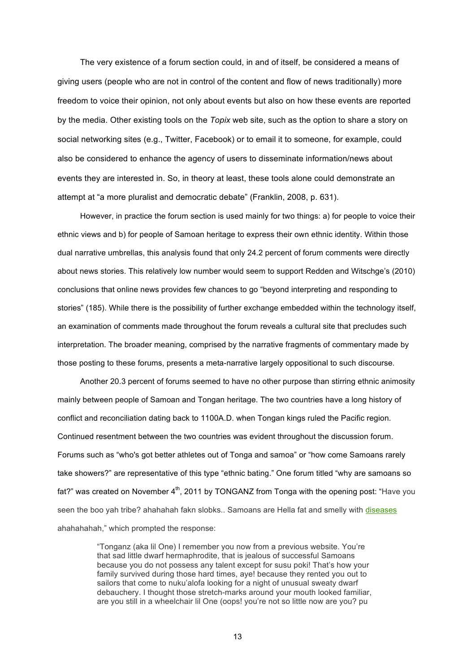The very existence of a forum section could, in and of itself, be considered a means of giving users (people who are not in control of the content and flow of news traditionally) more freedom to voice their opinion, not only about events but also on how these events are reported by the media. Other existing tools on the *Topix* web site, such as the option to share a story on social networking sites (e.g., Twitter, Facebook) or to email it to someone, for example, could also be considered to enhance the agency of users to disseminate information/news about events they are interested in. So, in theory at least, these tools alone could demonstrate an attempt at "a more pluralist and democratic debate" (Franklin, 2008, p. 631).

However, in practice the forum section is used mainly for two things: a) for people to voice their ethnic views and b) for people of Samoan heritage to express their own ethnic identity. Within those dual narrative umbrellas, this analysis found that only 24.2 percent of forum comments were directly about news stories. This relatively low number would seem to support Redden and Witschge's (2010) conclusions that online news provides few chances to go "beyond interpreting and responding to stories" (185). While there is the possibility of further exchange embedded within the technology itself, an examination of comments made throughout the forum reveals a cultural site that precludes such interpretation. The broader meaning, comprised by the narrative fragments of commentary made by those posting to these forums, presents a meta-narrative largely oppositional to such discourse.

Another 20.3 percent of forums seemed to have no other purpose than stirring ethnic animosity mainly between people of Samoan and Tongan heritage. The two countries have a long history of conflict and reconciliation dating back to 1100A.D. when Tongan kings ruled the Pacific region. Continued resentment between the two countries was evident throughout the discussion forum. Forums such as "who's got better athletes out of Tonga and samoa" or "how come Samoans rarely take showers?" are representative of this type "ethnic bating." One forum titled "why are samoans so fat?" was created on November  $4<sup>th</sup>$ , 2011 by TONGANZ from Tonga with the opening post: "Have you seen the boo yah tribe? ahahahah fakn slobks.. Samoans are Hella fat and smelly with diseases ahahahahah," which prompted the response:

> "Tonganz (aka lil One) I remember you now from a previous website. You're that sad little dwarf hermaphrodite, that is jealous of successful Samoans because you do not possess any talent except for susu poki! That's how your family survived during those hard times, aye! because they rented you out to sailors that come to nuku'alofa looking for a night of unusual sweaty dwarf debauchery. I thought those stretch-marks around your mouth looked familiar, are you still in a wheelchair lil One (oops! you're not so little now are you? pu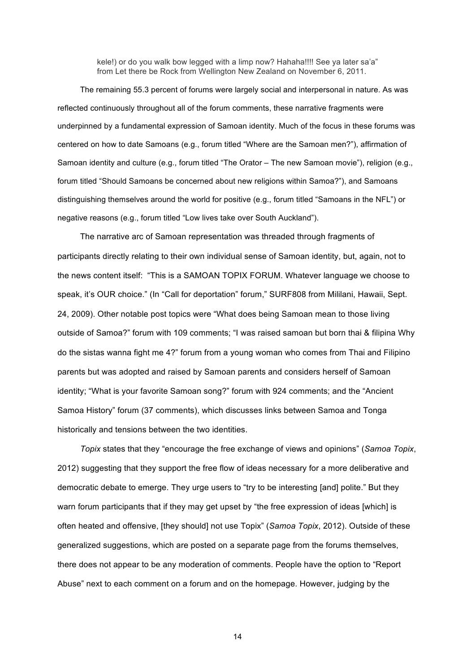kele!) or do you walk bow legged with a limp now? Hahaha!!!! See ya later sa'a" from Let there be Rock from Wellington New Zealand on November 6, 2011.

The remaining 55.3 percent of forums were largely social and interpersonal in nature. As was reflected continuously throughout all of the forum comments, these narrative fragments were underpinned by a fundamental expression of Samoan identity. Much of the focus in these forums was centered on how to date Samoans (e.g., forum titled "Where are the Samoan men?"), affirmation of Samoan identity and culture (e.g., forum titled "The Orator – The new Samoan movie"), religion (e.g., forum titled "Should Samoans be concerned about new religions within Samoa?"), and Samoans distinguishing themselves around the world for positive (e.g., forum titled "Samoans in the NFL") or negative reasons (e.g., forum titled "Low lives take over South Auckland").

The narrative arc of Samoan representation was threaded through fragments of participants directly relating to their own individual sense of Samoan identity, but, again, not to the news content itself: "This is a SAMOAN TOPIX FORUM. Whatever language we choose to speak, it's OUR choice." (In "Call for deportation" forum," SURF808 from Mililani, Hawaii, Sept. 24, 2009). Other notable post topics were "What does being Samoan mean to those living outside of Samoa?" forum with 109 comments; "I was raised samoan but born thai & filipina Why do the sistas wanna fight me 4?" forum from a young woman who comes from Thai and Filipino parents but was adopted and raised by Samoan parents and considers herself of Samoan identity; "What is your favorite Samoan song?" forum with 924 comments; and the "Ancient Samoa History" forum (37 comments), which discusses links between Samoa and Tonga historically and tensions between the two identities.

*Topix* states that they "encourage the free exchange of views and opinions" (*Samoa Topix*, 2012) suggesting that they support the free flow of ideas necessary for a more deliberative and democratic debate to emerge. They urge users to "try to be interesting [and] polite." But they warn forum participants that if they may get upset by "the free expression of ideas [which] is often heated and offensive, [they should] not use Topix" (*Samoa Topix*, 2012). Outside of these generalized suggestions, which are posted on a separate page from the forums themselves, there does not appear to be any moderation of comments. People have the option to "Report Abuse" next to each comment on a forum and on the homepage. However, judging by the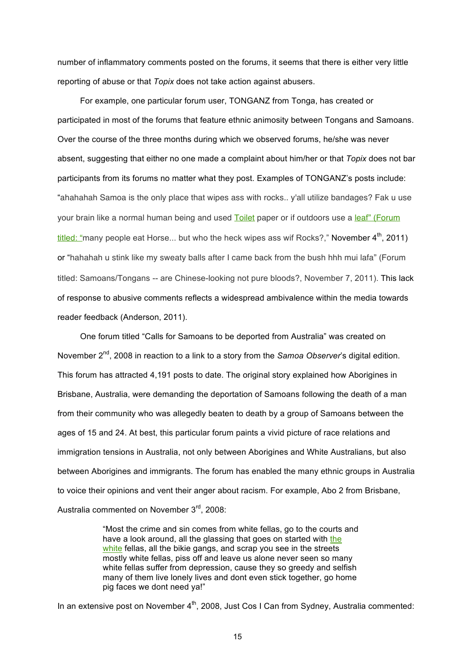number of inflammatory comments posted on the forums, it seems that there is either very little reporting of abuse or that *Topix* does not take action against abusers.

For example, one particular forum user, TONGANZ from Tonga, has created or participated in most of the forums that feature ethnic animosity between Tongans and Samoans. Over the course of the three months during which we observed forums, he/she was never absent, suggesting that either no one made a complaint about him/her or that *Topix* does not bar participants from its forums no matter what they post. Examples of TONGANZ's posts include: "ahahahah Samoa is the only place that wipes ass with rocks.. y'all utilize bandages? Fak u use your brain like a normal human being and used Toilet paper or if outdoors use a leaf" (Forum  $t$  titled: "many people eat Horse... but who the heck wipes ass wif Rocks?," November  $4<sup>th</sup>$ . 2011) or "hahahah u stink like my sweaty balls after I came back from the bush hhh mui lafa" (Forum titled: Samoans/Tongans -- are Chinese-looking not pure bloods?, November 7, 2011). This lack of response to abusive comments reflects a widespread ambivalence within the media towards reader feedback (Anderson, 2011).

One forum titled "Calls for Samoans to be deported from Australia" was created on November 2<sup>nd</sup>, 2008 in reaction to a link to a story from the *Samoa Observer's* digital edition. This forum has attracted 4,191 posts to date. The original story explained how Aborigines in Brisbane, Australia, were demanding the deportation of Samoans following the death of a man from their community who was allegedly beaten to death by a group of Samoans between the ages of 15 and 24. At best, this particular forum paints a vivid picture of race relations and immigration tensions in Australia, not only between Aborigines and White Australians, but also between Aborigines and immigrants. The forum has enabled the many ethnic groups in Australia to voice their opinions and vent their anger about racism. For example, Abo 2 from Brisbane, Australia commented on November 3rd, 2008:

> "Most the crime and sin comes from white fellas, go to the courts and have a look around, all the glassing that goes on started with the white fellas, all the bikie gangs, and scrap you see in the streets mostly white fellas, piss off and leave us alone never seen so many white fellas suffer from depression, cause they so greedy and selfish many of them live lonely lives and dont even stick together, go home pig faces we dont need ya!"

In an extensive post on November  $4<sup>th</sup>$ , 2008, Just Cos I Can from Sydney, Australia commented: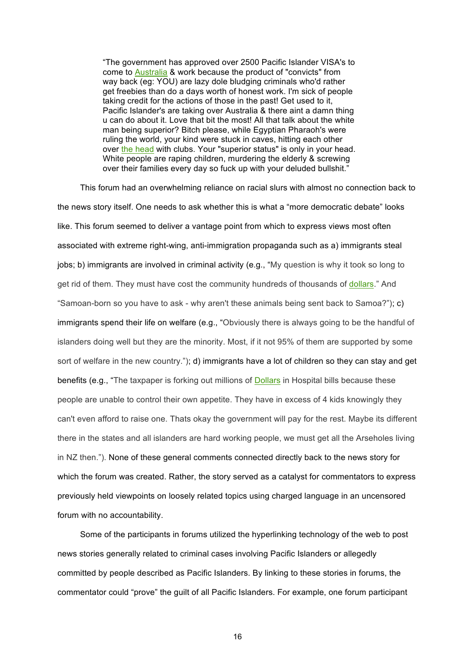"The government has approved over 2500 Pacific Islander VISA's to come to Australia & work because the product of "convicts" from way back (eg: YOU) are lazy dole bludging criminals who'd rather get freebies than do a days worth of honest work. I'm sick of people taking credit for the actions of those in the past! Get used to it, Pacific Islander's are taking over Australia & there aint a damn thing u can do about it. Love that bit the most! All that talk about the white man being superior? Bitch please, while Egyptian Pharaoh's were ruling the world, your kind were stuck in caves, hitting each other over the head with clubs. Your "superior status" is only in your head. White people are raping children, murdering the elderly & screwing over their families every day so fuck up with your deluded bullshit."

This forum had an overwhelming reliance on racial slurs with almost no connection back to the news story itself. One needs to ask whether this is what a "more democratic debate" looks like. This forum seemed to deliver a vantage point from which to express views most often associated with extreme right-wing, anti-immigration propaganda such as a) immigrants steal jobs; b) immigrants are involved in criminal activity (e.g., "My question is why it took so long to get rid of them. They must have cost the community hundreds of thousands of dollars." And "Samoan-born so you have to ask - why aren't these animals being sent back to Samoa?"); c) immigrants spend their life on welfare (e.g., "Obviously there is always going to be the handful of islanders doing well but they are the minority. Most, if it not 95% of them are supported by some sort of welfare in the new country."); d) immigrants have a lot of children so they can stay and get benefits (e.g., "The taxpaper is forking out millions of Dollars in Hospital bills because these people are unable to control their own appetite. They have in excess of 4 kids knowingly they can't even afford to raise one. Thats okay the government will pay for the rest. Maybe its different there in the states and all islanders are hard working people, we must get all the Arseholes living in NZ then."). None of these general comments connected directly back to the news story for which the forum was created. Rather, the story served as a catalyst for commentators to express previously held viewpoints on loosely related topics using charged language in an uncensored forum with no accountability.

Some of the participants in forums utilized the hyperlinking technology of the web to post news stories generally related to criminal cases involving Pacific Islanders or allegedly committed by people described as Pacific Islanders. By linking to these stories in forums, the commentator could "prove" the guilt of all Pacific Islanders. For example, one forum participant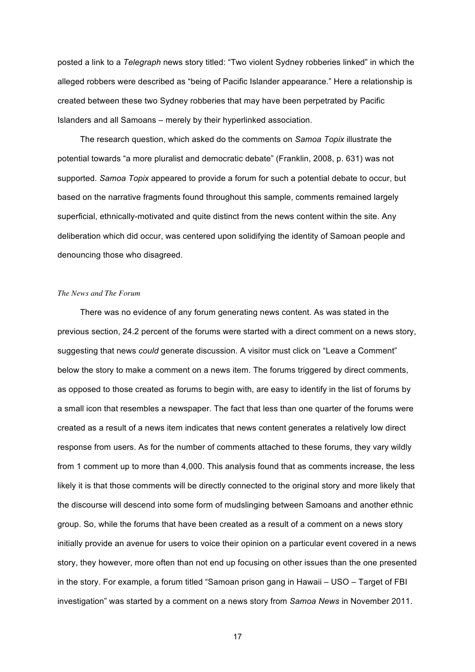posted a link to a *Telegraph* news story titled: "Two violent Sydney robberies linked" in which the alleged robbers were described as "being of Pacific Islander appearance." Here a relationship is created between these two Sydney robberies that may have been perpetrated by Pacific Islanders and all Samoans – merely by their hyperlinked association.

The research question, which asked do the comments on *Samoa Topix* illustrate the potential towards "a more pluralist and democratic debate" (Franklin, 2008, p. 631) was not supported. *Samoa Topix* appeared to provide a forum for such a potential debate to occur, but based on the narrative fragments found throughout this sample, comments remained largely superficial, ethnically-motivated and quite distinct from the news content within the site. Any deliberation which did occur, was centered upon solidifying the identity of Samoan people and denouncing those who disagreed.

# *The News and The Forum*

There was no evidence of any forum generating news content. As was stated in the previous section, 24.2 percent of the forums were started with a direct comment on a news story, suggesting that news *could* generate discussion. A visitor must click on "Leave a Comment" below the story to make a comment on a news item. The forums triggered by direct comments, as opposed to those created as forums to begin with, are easy to identify in the list of forums by a small icon that resembles a newspaper. The fact that less than one quarter of the forums were created as a result of a news item indicates that news content generates a relatively low direct response from users. As for the number of comments attached to these forums, they vary wildly from 1 comment up to more than 4,000. This analysis found that as comments increase, the less likely it is that those comments will be directly connected to the original story and more likely that the discourse will descend into some form of mudslinging between Samoans and another ethnic group. So, while the forums that have been created as a result of a comment on a news story initially provide an avenue for users to voice their opinion on a particular event covered in a news story, they however, more often than not end up focusing on other issues than the one presented in the story. For example, a forum titled "Samoan prison gang in Hawaii – USO – Target of FBI investigation" was started by a comment on a news story from *Samoa News* in November 2011.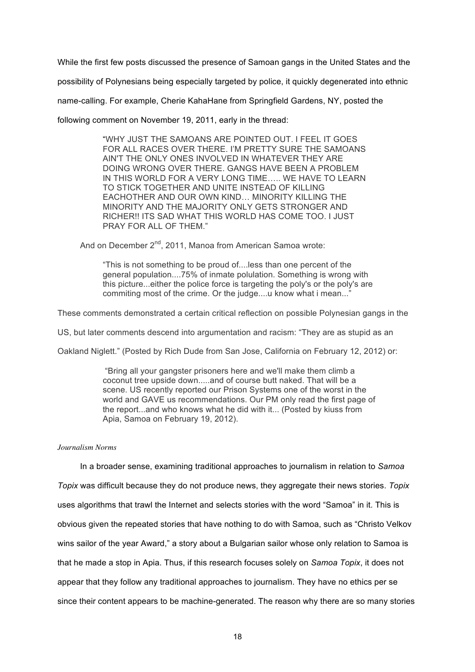While the first few posts discussed the presence of Samoan gangs in the United States and the possibility of Polynesians being especially targeted by police, it quickly degenerated into ethnic name-calling. For example, Cherie KahaHane from Springfield Gardens, NY, posted the

following comment on November 19, 2011, early in the thread:

"WHY JUST THE SAMOANS ARE POINTED OUT. I FEEL IT GOES FOR ALL RACES OVER THERE. I'M PRETTY SURE THE SAMOANS AIN'T THE ONLY ONES INVOLVED IN WHATEVER THEY ARE DOING WRONG OVER THERE. GANGS HAVE BEEN A PROBLEM IN THIS WORLD FOR A VERY LONG TIME….. WE HAVE TO LEARN TO STICK TOGETHER AND UNITE INSTEAD OF KILLING EACHOTHER AND OUR OWN KIND… MINORITY KILLING THE MINORITY AND THE MAJORITY ONLY GETS STRONGER AND RICHER!! ITS SAD WHAT THIS WORLD HAS COME TOO. I JUST PRAY FOR ALL OF THEM."

And on December 2<sup>nd</sup>, 2011, Manoa from American Samoa wrote:

"This is not something to be proud of....less than one percent of the general population....75% of inmate polulation. Something is wrong with this picture...either the police force is targeting the poly's or the poly's are commiting most of the crime. Or the judge....u know what i mean..."

These comments demonstrated a certain critical reflection on possible Polynesian gangs in the

US, but later comments descend into argumentation and racism: "They are as stupid as an

Oakland Niglett." (Posted by Rich Dude from San Jose, California on February 12, 2012) or:

 "Bring all your gangster prisoners here and we'll make them climb a coconut tree upside down.....and of course butt naked. That will be a scene. US recently reported our Prison Systems one of the worst in the world and GAVE us recommendations. Our PM only read the first page of the report...and who knows what he did with it... (Posted by kiuss from Apia, Samoa on February 19, 2012).

# *Journalism Norms*

In a broader sense, examining traditional approaches to journalism in relation to *Samoa Topix* was difficult because they do not produce news, they aggregate their news stories. *Topix* uses algorithms that trawl the Internet and selects stories with the word "Samoa" in it. This is obvious given the repeated stories that have nothing to do with Samoa, such as "Christo Velkov wins sailor of the year Award," a story about a Bulgarian sailor whose only relation to Samoa is that he made a stop in Apia. Thus, if this research focuses solely on *Samoa Topix*, it does not appear that they follow any traditional approaches to journalism. They have no ethics per se since their content appears to be machine-generated. The reason why there are so many stories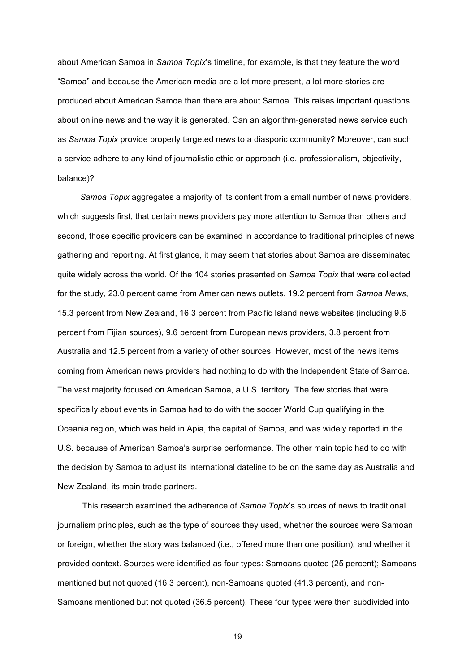about American Samoa in *Samoa Topix*'s timeline, for example, is that they feature the word "Samoa" and because the American media are a lot more present, a lot more stories are produced about American Samoa than there are about Samoa. This raises important questions about online news and the way it is generated. Can an algorithm-generated news service such as *Samoa Topix* provide properly targeted news to a diasporic community? Moreover, can such a service adhere to any kind of journalistic ethic or approach (i.e. professionalism, objectivity, balance)?

*Samoa Topix* aggregates a majority of its content from a small number of news providers, which suggests first, that certain news providers pay more attention to Samoa than others and second, those specific providers can be examined in accordance to traditional principles of news gathering and reporting. At first glance, it may seem that stories about Samoa are disseminated quite widely across the world. Of the 104 stories presented on *Samoa Topix* that were collected for the study, 23.0 percent came from American news outlets, 19.2 percent from *Samoa News*, 15.3 percent from New Zealand, 16.3 percent from Pacific Island news websites (including 9.6 percent from Fijian sources), 9.6 percent from European news providers, 3.8 percent from Australia and 12.5 percent from a variety of other sources. However, most of the news items coming from American news providers had nothing to do with the Independent State of Samoa. The vast majority focused on American Samoa, a U.S. territory. The few stories that were specifically about events in Samoa had to do with the soccer World Cup qualifying in the Oceania region, which was held in Apia, the capital of Samoa, and was widely reported in the U.S. because of American Samoa's surprise performance. The other main topic had to do with the decision by Samoa to adjust its international dateline to be on the same day as Australia and New Zealand, its main trade partners.

This research examined the adherence of *Samoa Topix*'s sources of news to traditional journalism principles, such as the type of sources they used, whether the sources were Samoan or foreign, whether the story was balanced (i.e., offered more than one position), and whether it provided context. Sources were identified as four types: Samoans quoted (25 percent); Samoans mentioned but not quoted (16.3 percent), non-Samoans quoted (41.3 percent), and non-Samoans mentioned but not quoted (36.5 percent). These four types were then subdivided into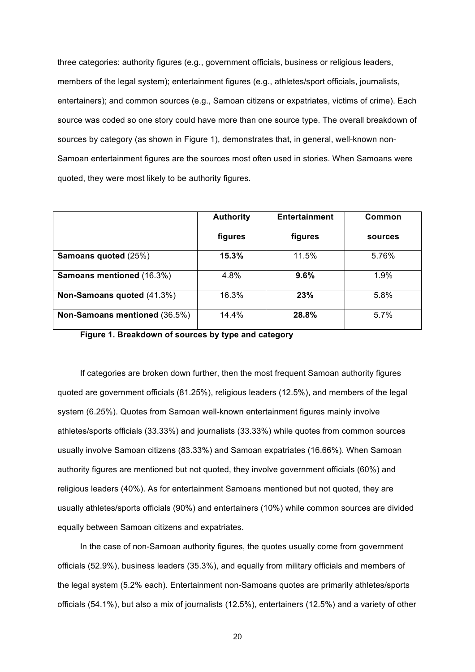three categories: authority figures (e.g., government officials, business or religious leaders, members of the legal system); entertainment figures (e.g., athletes/sport officials, journalists, entertainers); and common sources (e.g., Samoan citizens or expatriates, victims of crime). Each source was coded so one story could have more than one source type. The overall breakdown of sources by category (as shown in Figure 1), demonstrates that, in general, well-known non-Samoan entertainment figures are the sources most often used in stories. When Samoans were quoted, they were most likely to be authority figures.

|                                  | <b>Authority</b> | <b>Entertainment</b> | Common  |
|----------------------------------|------------------|----------------------|---------|
|                                  | figures          | figures              | sources |
| <b>Samoans quoted (25%)</b>      | 15.3%            | 11.5%                | 5.76%   |
| <b>Samoans mentioned (16.3%)</b> | 4.8%             | 9.6%                 | $1.9\%$ |
| Non-Samoans quoted (41.3%)       | 16.3%            | 23%                  | 5.8%    |
| Non-Samoans mentioned (36.5%)    | 14.4%            | 28.8%                | 5.7%    |

**Figure 1. Breakdown of sources by type and category**

If categories are broken down further, then the most frequent Samoan authority figures quoted are government officials (81.25%), religious leaders (12.5%), and members of the legal system (6.25%). Quotes from Samoan well-known entertainment figures mainly involve athletes/sports officials (33.33%) and journalists (33.33%) while quotes from common sources usually involve Samoan citizens (83.33%) and Samoan expatriates (16.66%). When Samoan authority figures are mentioned but not quoted, they involve government officials (60%) and religious leaders (40%). As for entertainment Samoans mentioned but not quoted, they are usually athletes/sports officials (90%) and entertainers (10%) while common sources are divided equally between Samoan citizens and expatriates.

In the case of non-Samoan authority figures, the quotes usually come from government officials (52.9%), business leaders (35.3%), and equally from military officials and members of the legal system (5.2% each). Entertainment non-Samoans quotes are primarily athletes/sports officials (54.1%), but also a mix of journalists (12.5%), entertainers (12.5%) and a variety of other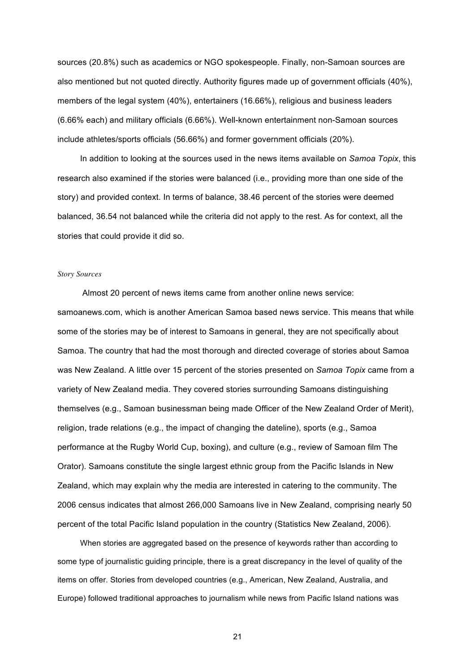sources (20.8%) such as academics or NGO spokespeople. Finally, non-Samoan sources are also mentioned but not quoted directly. Authority figures made up of government officials (40%), members of the legal system (40%), entertainers (16.66%), religious and business leaders (6.66% each) and military officials (6.66%). Well-known entertainment non-Samoan sources include athletes/sports officials (56.66%) and former government officials (20%).

In addition to looking at the sources used in the news items available on *Samoa Topix*, this research also examined if the stories were balanced (i.e., providing more than one side of the story) and provided context. In terms of balance, 38.46 percent of the stories were deemed balanced, 36.54 not balanced while the criteria did not apply to the rest. As for context, all the stories that could provide it did so.

# *Story Sources*

Almost 20 percent of news items came from another online news service: samoanews.com, which is another American Samoa based news service. This means that while some of the stories may be of interest to Samoans in general, they are not specifically about Samoa. The country that had the most thorough and directed coverage of stories about Samoa was New Zealand. A little over 15 percent of the stories presented on *Samoa Topix* came from a variety of New Zealand media. They covered stories surrounding Samoans distinguishing themselves (e.g., Samoan businessman being made Officer of the New Zealand Order of Merit), religion, trade relations (e.g., the impact of changing the dateline), sports (e.g., Samoa performance at the Rugby World Cup, boxing), and culture (e.g., review of Samoan film The Orator). Samoans constitute the single largest ethnic group from the Pacific Islands in New Zealand, which may explain why the media are interested in catering to the community. The 2006 census indicates that almost 266,000 Samoans live in New Zealand, comprising nearly 50 percent of the total Pacific Island population in the country (Statistics New Zealand, 2006).

When stories are aggregated based on the presence of keywords rather than according to some type of journalistic guiding principle, there is a great discrepancy in the level of quality of the items on offer. Stories from developed countries (e.g., American, New Zealand, Australia, and Europe) followed traditional approaches to journalism while news from Pacific Island nations was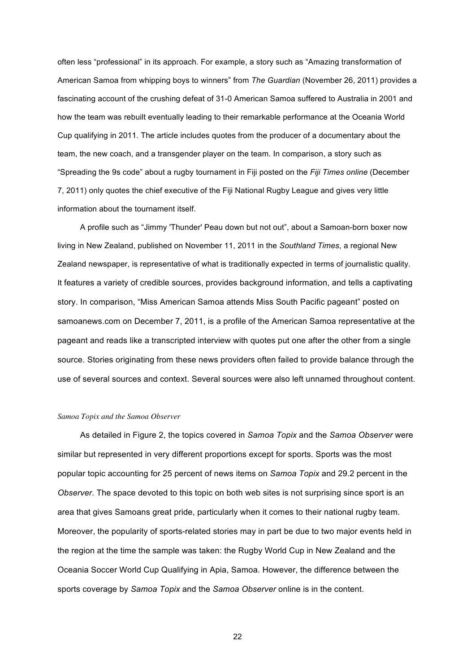often less "professional" in its approach. For example, a story such as "Amazing transformation of American Samoa from whipping boys to winners" from *The Guardian* (November 26, 2011) provides a fascinating account of the crushing defeat of 31-0 American Samoa suffered to Australia in 2001 and how the team was rebuilt eventually leading to their remarkable performance at the Oceania World Cup qualifying in 2011. The article includes quotes from the producer of a documentary about the team, the new coach, and a transgender player on the team. In comparison, a story such as "Spreading the 9s code" about a rugby tournament in Fiji posted on the *Fiji Times online* (December 7, 2011) only quotes the chief executive of the Fiji National Rugby League and gives very little information about the tournament itself.

A profile such as "Jimmy 'Thunder' Peau down but not out", about a Samoan-born boxer now living in New Zealand, published on November 11, 2011 in the *Southland Times*, a regional New Zealand newspaper, is representative of what is traditionally expected in terms of journalistic quality. It features a variety of credible sources, provides background information, and tells a captivating story. In comparison, "Miss American Samoa attends Miss South Pacific pageant" posted on samoanews.com on December 7, 2011, is a profile of the American Samoa representative at the pageant and reads like a transcripted interview with quotes put one after the other from a single source. Stories originating from these news providers often failed to provide balance through the use of several sources and context. Several sources were also left unnamed throughout content.

# *Samoa Topix and the Samoa Observer*

As detailed in Figure 2, the topics covered in *Samoa Topix* and the *Samoa Observer* were similar but represented in very different proportions except for sports. Sports was the most popular topic accounting for 25 percent of news items on *Samoa Topix* and 29.2 percent in the *Observer*. The space devoted to this topic on both web sites is not surprising since sport is an area that gives Samoans great pride, particularly when it comes to their national rugby team. Moreover, the popularity of sports-related stories may in part be due to two major events held in the region at the time the sample was taken: the Rugby World Cup in New Zealand and the Oceania Soccer World Cup Qualifying in Apia, Samoa. However, the difference between the sports coverage by *Samoa Topix* and the *Samoa Observer* online is in the content.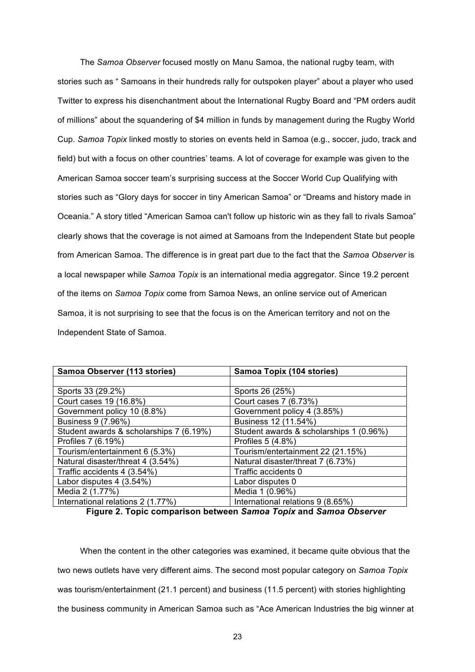The *Samoa Observer* focused mostly on Manu Samoa, the national rugby team, with stories such as " Samoans in their hundreds rally for outspoken player" about a player who used Twitter to express his disenchantment about the International Rugby Board and "PM orders audit of millions" about the squandering of \$4 million in funds by management during the Rugby World Cup. *Samoa Topix* linked mostly to stories on events held in Samoa (e.g., soccer, judo, track and field) but with a focus on other countries' teams. A lot of coverage for example was given to the American Samoa soccer team's surprising success at the Soccer World Cup Qualifying with stories such as "Glory days for soccer in tiny American Samoa" or "Dreams and history made in Oceania." A story titled "American Samoa can't follow up historic win as they fall to rivals Samoa" clearly shows that the coverage is not aimed at Samoans from the Independent State but people from American Samoa. The difference is in great part due to the fact that the *Samoa Observer* is a local newspaper while *Samoa Topix* is an international media aggregator. Since 19.2 percent of the items on *Samoa Topix* come from Samoa News, an online service out of American Samoa, it is not surprising to see that the focus is on the American territory and not on the Independent State of Samoa.

| Samoa Observer (113 stories)            | Samoa Topix (104 stories)               |
|-----------------------------------------|-----------------------------------------|
|                                         |                                         |
| Sports 33 (29.2%)                       | Sports 26 (25%)                         |
| Court cases 19 (16.8%)                  | Court cases 7 (6.73%)                   |
| Government policy 10 (8.8%)             | Government policy 4 (3.85%)             |
| Business 9 (7.96%)                      | Business 12 (11.54%)                    |
| Student awards & scholarships 7 (6.19%) | Student awards & scholarships 1 (0.96%) |
| Profiles 7 (6.19%)                      | Profiles 5 (4.8%)                       |
| Tourism/entertainment 6 (5.3%)          | Tourism/entertainment 22 (21.15%)       |
| Natural disaster/threat 4 (3.54%)       | Natural disaster/threat 7 (6.73%)       |
| Traffic accidents 4 (3.54%)             | Traffic accidents 0                     |
| Labor disputes 4 (3.54%)                | Labor disputes 0                        |
| Media 2 (1.77%)                         | Media 1 (0.96%)                         |
| International relations 2 (1.77%)       | International relations 9 (8.65%)       |

**Figure 2. Topic comparison between** *Samoa Topix* **and** *Samoa Observer*

When the content in the other categories was examined, it became quite obvious that the two news outlets have very different aims. The second most popular category on *Samoa Topix* was tourism/entertainment (21.1 percent) and business (11.5 percent) with stories highlighting the business community in American Samoa such as "Ace American Industries the big winner at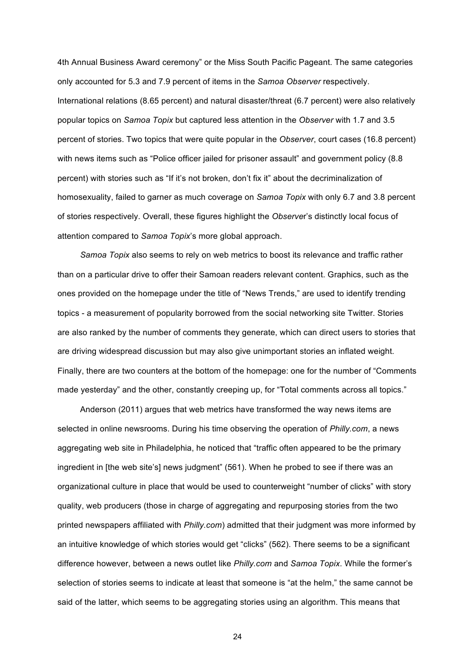4th Annual Business Award ceremony" or the Miss South Pacific Pageant. The same categories only accounted for 5.3 and 7.9 percent of items in the *Samoa Observer* respectively. International relations (8.65 percent) and natural disaster/threat (6.7 percent) were also relatively popular topics on *Samoa Topix* but captured less attention in the *Observer* with 1.7 and 3.5 percent of stories. Two topics that were quite popular in the *Observer*, court cases (16.8 percent) with news items such as "Police officer jailed for prisoner assault" and government policy (8.8 percent) with stories such as "If it's not broken, don't fix it" about the decriminalization of homosexuality, failed to garner as much coverage on *Samoa Topix* with only 6.7 and 3.8 percent of stories respectively. Overall, these figures highlight the *Observe*r's distinctly local focus of attention compared to *Samoa Topix*'s more global approach.

*Samoa Topix* also seems to rely on web metrics to boost its relevance and traffic rather than on a particular drive to offer their Samoan readers relevant content. Graphics, such as the ones provided on the homepage under the title of "News Trends," are used to identify trending topics - a measurement of popularity borrowed from the social networking site Twitter. Stories are also ranked by the number of comments they generate, which can direct users to stories that are driving widespread discussion but may also give unimportant stories an inflated weight. Finally, there are two counters at the bottom of the homepage: one for the number of "Comments made yesterday" and the other, constantly creeping up, for "Total comments across all topics."

Anderson (2011) argues that web metrics have transformed the way news items are selected in online newsrooms. During his time observing the operation of *Philly.com*, a news aggregating web site in Philadelphia, he noticed that "traffic often appeared to be the primary ingredient in [the web site's] news judgment" (561). When he probed to see if there was an organizational culture in place that would be used to counterweight "number of clicks" with story quality, web producers (those in charge of aggregating and repurposing stories from the two printed newspapers affiliated with *Philly.com*) admitted that their judgment was more informed by an intuitive knowledge of which stories would get "clicks" (562). There seems to be a significant difference however, between a news outlet like *Philly.com* and *Samoa Topix*. While the former's selection of stories seems to indicate at least that someone is "at the helm," the same cannot be said of the latter, which seems to be aggregating stories using an algorithm. This means that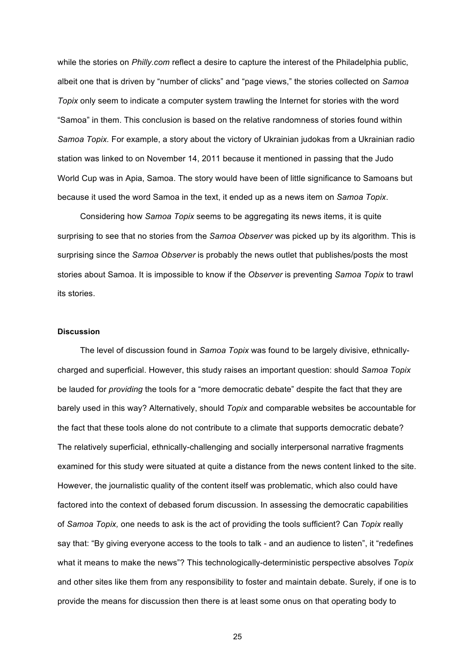while the stories on *Philly.com* reflect a desire to capture the interest of the Philadelphia public, albeit one that is driven by "number of clicks" and "page views," the stories collected on *Samoa Topix* only seem to indicate a computer system trawling the Internet for stories with the word "Samoa" in them. This conclusion is based on the relative randomness of stories found within *Samoa Topix.* For example, a story about the victory of Ukrainian judokas from a Ukrainian radio station was linked to on November 14, 2011 because it mentioned in passing that the Judo World Cup was in Apia, Samoa. The story would have been of little significance to Samoans but because it used the word Samoa in the text, it ended up as a news item on *Samoa Topix*.

Considering how *Samoa Topix* seems to be aggregating its news items, it is quite surprising to see that no stories from the *Samoa Observer* was picked up by its algorithm. This is surprising since the *Samoa Observer* is probably the news outlet that publishes/posts the most stories about Samoa. It is impossible to know if the *Observer* is preventing *Samoa Topix* to trawl its stories.

# **Discussion**

The level of discussion found in *Samoa Topix* was found to be largely divisive, ethnicallycharged and superficial. However, this study raises an important question: should *Samoa Topix* be lauded for *providing* the tools for a "more democratic debate" despite the fact that they are barely used in this way? Alternatively, should *Topix* and comparable websites be accountable for the fact that these tools alone do not contribute to a climate that supports democratic debate? The relatively superficial, ethnically-challenging and socially interpersonal narrative fragments examined for this study were situated at quite a distance from the news content linked to the site. However, the journalistic quality of the content itself was problematic, which also could have factored into the context of debased forum discussion. In assessing the democratic capabilities of *Samoa Topix,* one needs to ask is the act of providing the tools sufficient? Can *Topix* really say that: "By giving everyone access to the tools to talk - and an audience to listen", it "redefines what it means to make the news"? This technologically-deterministic perspective absolves *Topix* and other sites like them from any responsibility to foster and maintain debate. Surely, if one is to provide the means for discussion then there is at least some onus on that operating body to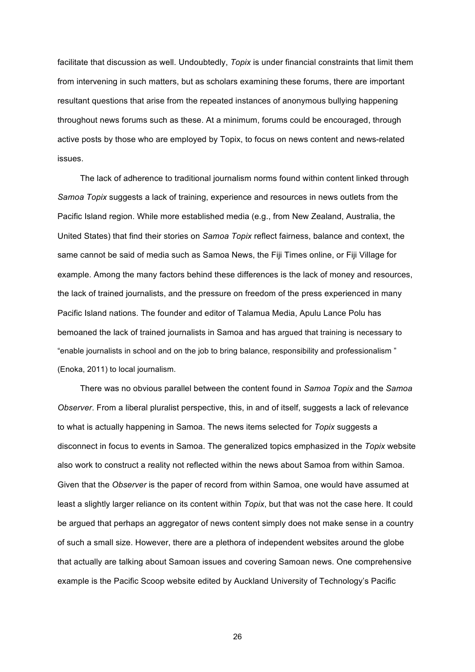facilitate that discussion as well. Undoubtedly, *Topix* is under financial constraints that limit them from intervening in such matters, but as scholars examining these forums, there are important resultant questions that arise from the repeated instances of anonymous bullying happening throughout news forums such as these. At a minimum, forums could be encouraged, through active posts by those who are employed by Topix, to focus on news content and news-related issues.

The lack of adherence to traditional journalism norms found within content linked through *Samoa Topix* suggests a lack of training, experience and resources in news outlets from the Pacific Island region. While more established media (e.g., from New Zealand, Australia, the United States) that find their stories on *Samoa Topix* reflect fairness, balance and context, the same cannot be said of media such as Samoa News, the Fiji Times online, or Fiji Village for example. Among the many factors behind these differences is the lack of money and resources, the lack of trained journalists, and the pressure on freedom of the press experienced in many Pacific Island nations. The founder and editor of Talamua Media, Apulu Lance Polu has bemoaned the lack of trained journalists in Samoa and has argued that training is necessary to "enable journalists in school and on the job to bring balance, responsibility and professionalism " (Enoka, 2011) to local journalism.

There was no obvious parallel between the content found in *Samoa Topix* and the *Samoa Observer*. From a liberal pluralist perspective, this, in and of itself, suggests a lack of relevance to what is actually happening in Samoa. The news items selected for *Topix* suggests a disconnect in focus to events in Samoa. The generalized topics emphasized in the *Topix* website also work to construct a reality not reflected within the news about Samoa from within Samoa. Given that the *Observer* is the paper of record from within Samoa, one would have assumed at least a slightly larger reliance on its content within *Topix*, but that was not the case here. It could be argued that perhaps an aggregator of news content simply does not make sense in a country of such a small size. However, there are a plethora of independent websites around the globe that actually are talking about Samoan issues and covering Samoan news. One comprehensive example is the Pacific Scoop website edited by Auckland University of Technology's Pacific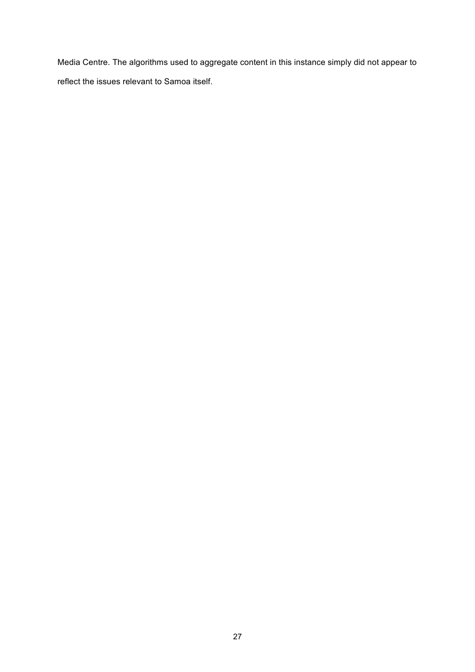Media Centre. The algorithms used to aggregate content in this instance simply did not appear to reflect the issues relevant to Samoa itself.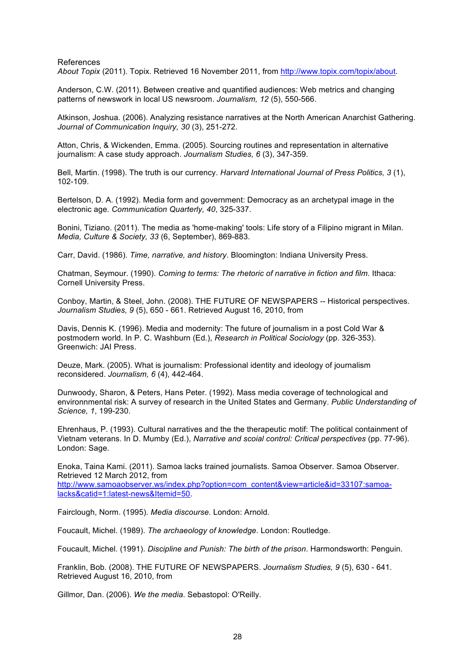# References

*About Topix* (2011). Topix. Retrieved 16 November 2011, from http://www.topix.com/topix/about.

Anderson, C.W. (2011). Between creative and quantified audiences: Web metrics and changing patterns of newswork in local US newsroom. *Journalism, 12* (5), 550-566.

Atkinson, Joshua. (2006). Analyzing resistance narratives at the North American Anarchist Gathering. *Journal of Communication Inquiry, 30* (3), 251-272.

Atton, Chris, & Wickenden, Emma. (2005). Sourcing routines and representation in alternative journalism: A case study approach. *Journalism Studies, 6* (3), 347-359.

Bell, Martin. (1998). The truth is our currency. *Harvard International Journal of Press Politics, 3* (1), 102-109.

Bertelson, D. A. (1992). Media form and government: Democracy as an archetypal image in the electronic age. *Communication Quarterly, 40*, 325-337.

Bonini, Tiziano. (2011). The media as 'home-making' tools: Life story of a Filipino migrant in Milan. *Media, Culture & Society, 33* (6, September), 869-883.

Carr, David. (1986). *Time, narrative, and history*. Bloomington: Indiana University Press.

Chatman, Seymour. (1990). *Coming to terms: The rhetoric of narrative in fiction and film*. Ithaca: Cornell University Press.

Conboy, Martin, & Steel, John. (2008). THE FUTURE OF NEWSPAPERS -- Historical perspectives. *Journalism Studies, 9* (5), 650 - 661. Retrieved August 16, 2010, from

Davis, Dennis K. (1996). Media and modernity: The future of journalism in a post Cold War & postmodern world. In P. C. Washburn (Ed.), *Research in Political Sociology* (pp. 326-353). Greenwich: JAI Press.

Deuze, Mark. (2005). What is journalism: Professional identity and ideology of journalism reconsidered. *Journalism, 6* (4), 442-464.

Dunwoody, Sharon, & Peters, Hans Peter. (1992). Mass media coverage of technological and environnmental risk: A survey of research in the United States and Germany. *Public Understanding of Science, 1*, 199-230.

Ehrenhaus, P. (1993). Cultural narratives and the the therapeutic motif: The political containment of Vietnam veterans. In D. Mumby (Ed.), *Narrative and scoial control: Critical perspectives* (pp. 77-96). London: Sage.

Enoka, Taina Kami. (2011). Samoa lacks trained journalists. Samoa Observer. Samoa Observer. Retrieved 12 March 2012, from

http://www.samoaobserver.ws/index.php?option=com\_content&view=article&id=33107:samoalacks&catid=1:latest-news&Itemid=50.

Fairclough, Norm. (1995). *Media discourse*. London: Arnold.

Foucault, Michel. (1989). *The archaeology of knowledge*. London: Routledge.

Foucault, Michel. (1991). *Discipline and Punish: The birth of the prison*. Harmondsworth: Penguin.

Franklin, Bob. (2008). THE FUTURE OF NEWSPAPERS. *Journalism Studies, 9* (5), 630 - 641. Retrieved August 16, 2010, from

Gillmor, Dan. (2006). *We the media*. Sebastopol: O'Reilly.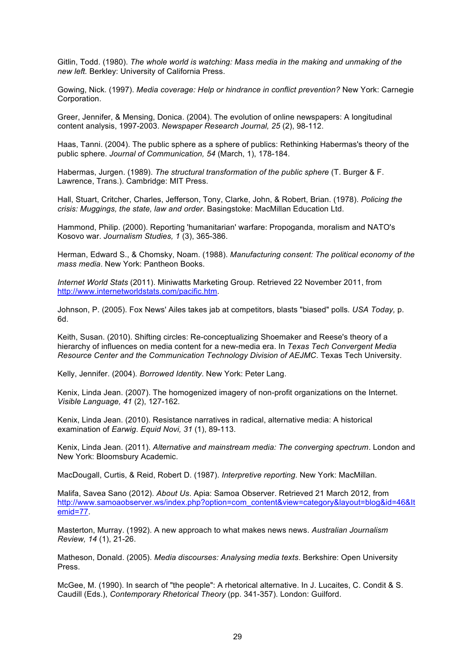Gitlin, Todd. (1980). *The whole world is watching: Mass media in the making and unmaking of the new left.* Berkley: University of California Press.

Gowing, Nick. (1997). *Media coverage: Help or hindrance in conflict prevention?* New York: Carnegie Corporation.

Greer, Jennifer, & Mensing, Donica. (2004). The evolution of online newspapers: A longitudinal content analysis, 1997-2003. *Newspaper Research Journal, 25* (2), 98-112.

Haas, Tanni. (2004). The public sphere as a sphere of publics: Rethinking Habermas's theory of the public sphere. *Journal of Communication, 54* (March, 1), 178-184.

Habermas, Jurgen. (1989). *The structural transformation of the public sphere* (T. Burger & F. Lawrence, Trans.). Cambridge: MIT Press.

Hall, Stuart, Critcher, Charles, Jefferson, Tony, Clarke, John, & Robert, Brian. (1978). *Policing the crisis: Muggings, the state, law and order*. Basingstoke: MacMillan Education Ltd.

Hammond, Philip. (2000). Reporting 'humanitarian' warfare: Propoganda, moralism and NATO's Kosovo war. *Journalism Studies, 1* (3), 365-386.

Herman, Edward S., & Chomsky, Noam. (1988). *Manufacturing consent: The political economy of the mass media*. New York: Pantheon Books.

*Internet World Stats* (2011). Miniwatts Marketing Group. Retrieved 22 November 2011, from http://www.internetworldstats.com/pacific.htm.

Johnson, P. (2005). Fox News' Ailes takes jab at competitors, blasts "biased" polls*. USA Today,* p. 6d.

Keith, Susan. (2010). Shifting circles: Re-conceptualizing Shoemaker and Reese's theory of a hierarchy of influences on media content for a new-media era. In *Texas Tech Convergent Media Resource Center and the Communication Technology Division of AEJMC*. Texas Tech University.

Kelly, Jennifer. (2004). *Borrowed Identity*. New York: Peter Lang.

Kenix, Linda Jean. (2007). The homogenized imagery of non-profit organizations on the Internet. *Visible Language, 41* (2), 127-162.

Kenix, Linda Jean. (2010). Resistance narratives in radical, alternative media: A historical examination of *Earwig*. *Equid Novi, 31* (1), 89-113.

Kenix, Linda Jean. (2011). *Alternative and mainstream media: The converging spectrum*. London and New York: Bloomsbury Academic.

MacDougall, Curtis, & Reid, Robert D. (1987). *Interpretive reporting*. New York: MacMillan.

Malifa, Savea Sano (2012). *About Us*. Apia: Samoa Observer. Retrieved 21 March 2012, from http://www.samoaobserver.ws/index.php?option=com\_content&view=category&layout=blog&id=46&It emid=77.

Masterton, Murray. (1992). A new approach to what makes news news. *Australian Journalism Review, 14* (1), 21-26.

Matheson, Donald. (2005). *Media discourses: Analysing media texts*. Berkshire: Open University Press.

McGee, M. (1990). In search of "the people": A rhetorical alternative. In J. Lucaites, C. Condit & S. Caudill (Eds.), *Contemporary Rhetorical Theory* (pp. 341-357). London: Guilford.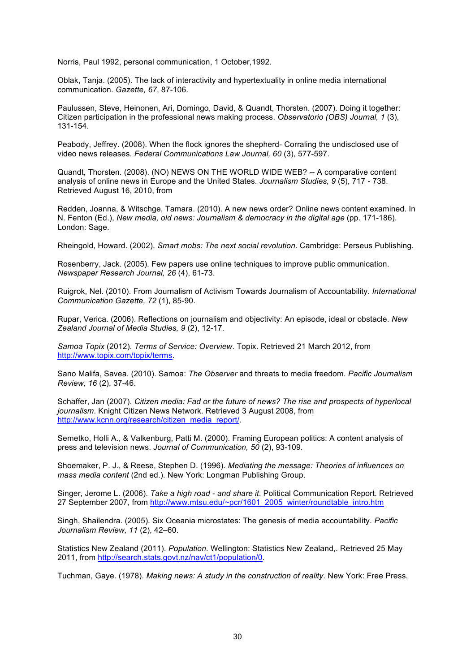Norris, Paul 1992, personal communication, 1 October,1992.

Oblak, Tanja. (2005). The lack of interactivity and hypertextuality in online media international communication. *Gazette, 67*, 87-106.

Paulussen, Steve, Heinonen, Ari, Domingo, David, & Quandt, Thorsten. (2007). Doing it together: Citizen participation in the professional news making process. *Observatorio (OBS) Journal, 1* (3), 131-154.

Peabody, Jeffrey. (2008). When the flock ignores the shepherd- Corraling the undisclosed use of video news releases. *Federal Communications Law Journal, 60* (3), 577-597.

Quandt, Thorsten. (2008). (NO) NEWS ON THE WORLD WIDE WEB? -- A comparative content analysis of online news in Europe and the United States. *Journalism Studies, 9* (5), 717 - 738. Retrieved August 16, 2010, from

Redden, Joanna, & Witschge, Tamara. (2010). A new news order? Online news content examined. In N. Fenton (Ed.), *New media, old news: Journalism & democracy in the digital age* (pp. 171-186). London: Sage.

Rheingold, Howard. (2002). *Smart mobs: The next social revolution*. Cambridge: Perseus Publishing.

Rosenberry, Jack. (2005). Few papers use online techniques to improve public ommunication. *Newspaper Research Journal, 26* (4), 61-73.

Ruigrok, Nel. (2010). From Journalism of Activism Towards Journalism of Accountability. *International Communication Gazette, 72* (1), 85-90.

Rupar, Verica. (2006). Reflections on journalism and objectivity: An episode, ideal or obstacle. *New Zealand Journal of Media Studies, 9* (2), 12-17.

*Samoa Topix* (2012). *Terms of Service: Overview*. Topix. Retrieved 21 March 2012, from http://www.topix.com/topix/terms.

Sano Malifa, Savea. (2010). Samoa: *The Observer* and threats to media freedom. *Pacific Journalism Review, 16* (2), 37-46.

Schaffer, Jan (2007). *Citizen media: Fad or the future of news? The rise and prospects of hyperlocal journalism*. Knight Citizen News Network. Retrieved 3 August 2008, from http://www.kcnn.org/research/citizen\_media\_report/.

Semetko, Holli A., & Valkenburg, Patti M. (2000). Framing European politics: A content analysis of press and television news. *Journal of Communication, 50* (2), 93-109.

Shoemaker, P. J., & Reese, Stephen D. (1996). *Mediating the message: Theories of influences on mass media content* (2nd ed.). New York: Longman Publishing Group.

Singer, Jerome L. (2006). *Take a high road - and share it*. Political Communication Report. Retrieved 27 September 2007, from http://www.mtsu.edu/~pcr/1601\_2005\_winter/roundtable\_intro.htm

Singh, Shailendra. (2005). Six Oceania microstates: The genesis of media accountability. *Pacific Journalism Review, 11* (2), 42–60.

Statistics New Zealand (2011). *Population*. Wellington: Statistics New Zealand,. Retrieved 25 May 2011, from http://search.stats.govt.nz/nav/ct1/population/0.

Tuchman, Gaye. (1978). *Making news: A study in the construction of reality*. New York: Free Press.